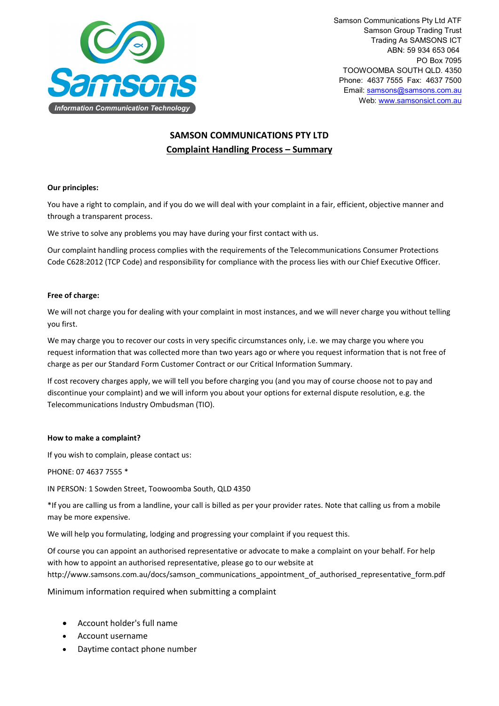

Samson Communications Pty Ltd ATF Samson Group Trading Trust Trading As SAMSONS ICT ABN: 59 934 653 064 PO Box 7095 TOOWOOMBA SOUTH QLD. 4350 Phone: 4637 7555 Fax: 4637 7500 Email[: samsons@samsons.com.au](mailto:samsons@samsons.com.au) Web: [www.samsonsict.com.au](http://www.samsonsict.com.au/)

# **SAMSON COMMUNICATIONS PTY LTD Complaint Handling Process – Summary**

## **Our principles:**

You have a right to complain, and if you do we will deal with your complaint in a fair, efficient, objective manner and through a transparent process.

We strive to solve any problems you may have during your first contact with us.

Our complaint handling process complies with the requirements of the Telecommunications Consumer Protections Code C628:2012 (TCP Code) and responsibility for compliance with the process lies with our Chief Executive Officer.

## **Free of charge:**

We will not charge you for dealing with your complaint in most instances, and we will never charge you without telling you first.

We may charge you to recover our costs in very specific circumstances only, i.e. we may charge you where you request information that was collected more than two years ago or where you request information that is not free of charge as per our Standard Form Customer Contract or our Critical Information Summary.

If cost recovery charges apply, we will tell you before charging you (and you may of course choose not to pay and discontinue your complaint) and we will inform you about your options for external dispute resolution, e.g. the Telecommunications Industry Ombudsman (TIO).

#### **How to make a complaint?**

If you wish to complain, please contact us:

PHONE: 07 4637 7555 \*

IN PERSON: 1 Sowden Street, Toowoomba South, QLD 4350

\*If you are calling us from a landline, your call is billed as per your provider rates. Note that calling us from a mobile may be more expensive.

We will help you formulating, lodging and progressing your complaint if you request this.

Of course you can appoint an authorised representative or advocate to make a complaint on your behalf. For help with how to appoint an authorised representative, please go to our website at http://www.samsons.com.au/docs/samson\_communications\_appointment\_of\_authorised\_representative\_form.pdf

Minimum information required when submitting a complaint

- Account holder's full name
- Account username
- Daytime contact phone number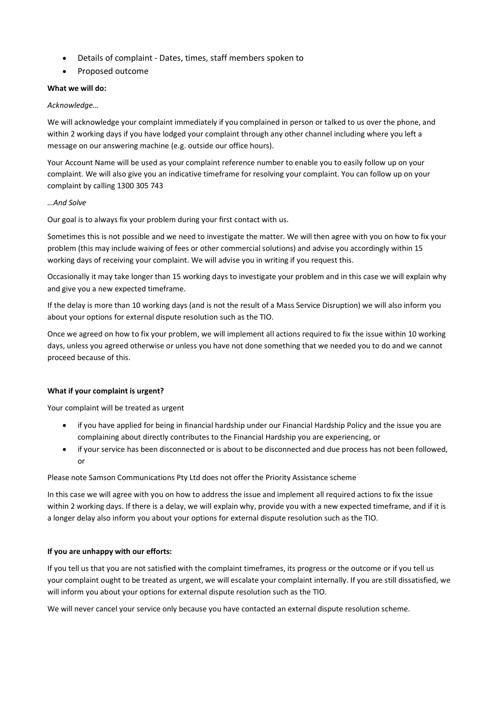- Details of complaint Dates, times, staff members spoken to
- Proposed outcome

## **What we will do:**

## *Acknowledge…*

We will acknowledge your complaint immediately if you complained in person or talked to us over the phone, and within 2 working days if you have lodged your complaint through any other channel including where you left a message on our answering machine (e.g. outside our office hours).

Your Account Name will be used as your complaint reference number to enable you to easily follow up on your complaint. We will also give you an indicative timeframe for resolving your complaint. You can follow up on your complaint by calling 1300 305 743

## *…And Solve*

Our goal is to always fix your problem during your first contact with us.

Sometimes this is not possible and we need to investigate the matter. We will then agree with you on how to fix your problem (this may include waiving of fees or other commercial solutions) and advise you accordingly within 15 working days of receiving your complaint. We will advise you in writing if you request this.

Occasionally it may take longer than 15 working days to investigate your problem and in this case we will explain why and give you a new expected timeframe.

If the delay is more than 10 working days (and is not the result of a Mass Service Disruption) we will also inform you about your options for external dispute resolution such as the TIO.

Once we agreed on how to fix your problem, we will implement all actions required to fix the issue within 10 working days, unless you agreed otherwise or unless you have not done something that we needed you to do and we cannot proceed because of this.

# **What if your complaint is urgent?**

Your complaint will be treated as urgent

- if you have applied for being in financial hardship under our Financial Hardship Policy and the issue you are complaining about directly contributes to the Financial Hardship you are experiencing, or
- if your service has been disconnected or is about to be disconnected and due process has not been followed, or

#### Please note Samson Communications Pty Ltd does not offer the Priority Assistance scheme

In this case we will agree with you on how to address the issue and implement all required actions to fix the issue within 2 working days. If there is a delay, we will explain why, provide you with a new expected timeframe, and if it is a longer delay also inform you about your options for external dispute resolution such as the TIO.

#### **If you are unhappy with our efforts:**

If you tell us that you are not satisfied with the complaint timeframes, its progress or the outcome or if you tell us your complaint ought to be treated as urgent, we will escalate your complaint internally. If you are still dissatisfied, we will inform you about your options for external dispute resolution such as the TIO.

We will never cancel your service only because you have contacted an external dispute resolution scheme.